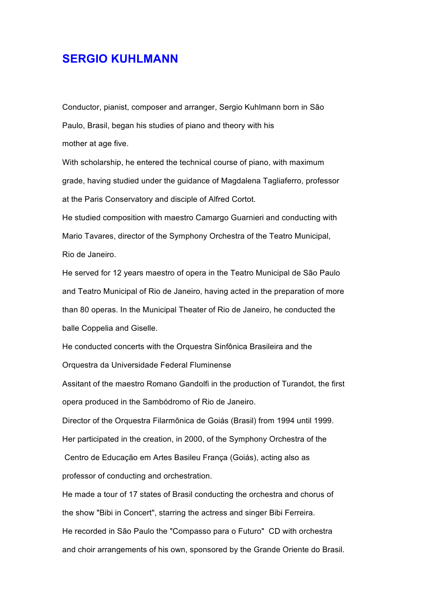## **SERGIO KUHLMANN**

Conductor, pianist, composer and arranger, Sergio Kuhlmann born in São Paulo, Brasil, began his studies of piano and theory with his mother at age five.

With scholarship, he entered the technical course of piano, with maximum grade, having studied under the guidance of Magdalena Tagliaferro, professor at the Paris Conservatory and disciple of Alfred Cortot.

He studied composition with maestro Camargo Guarnieri and conducting with Mario Tavares, director of the Symphony Orchestra of the Teatro Municipal, Rio de Janeiro.

He served for 12 years maestro of opera in the Teatro Municipal de São Paulo and Teatro Municipal of Rio de Janeiro, having acted in the preparation of more than 80 operas. In the Municipal Theater of Rio de Janeiro, he conducted the balle Coppelia and Giselle.

He conducted concerts with the Orquestra Sinfônica Brasileira and the Orquestra da Universidade Federal Fluminense

Assitant of the maestro Romano Gandolfi in the production of Turandot, the first opera produced in the Sambódromo of Rio de Janeiro.

Director of the Orquestra Filarmônica de Goiás (Brasil) from 1994 until 1999. Her participated in the creation, in 2000, of the Symphony Orchestra of the

Centro de Educação em Artes Basileu França (Goiás), acting also as professor of conducting and orchestration.

He made a tour of 17 states of Brasil conducting the orchestra and chorus of the show "Bibi in Concert", starring the actress and singer Bibi Ferreira. He recorded in São Paulo the "Compasso para o Futuro" CD with orchestra and choir arrangements of his own, sponsored by the Grande Oriente do Brasil.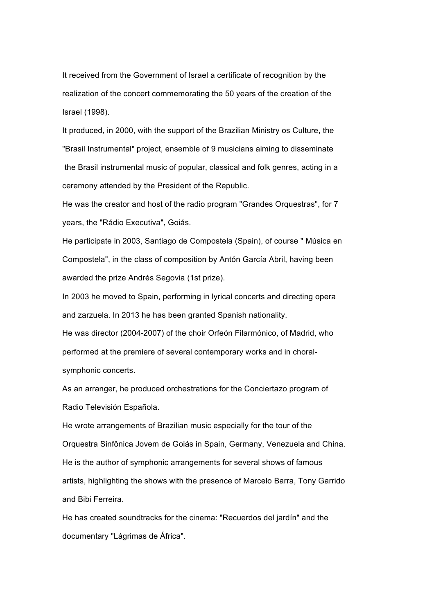It received from the Government of Israel a certificate of recognition by the realization of the concert commemorating the 50 years of the creation of the Israel (1998).

It produced, in 2000, with the support of the Brazilian Ministry os Culture, the "Brasil Instrumental" project, ensemble of 9 musicians aiming to disseminate the Brasil instrumental music of popular, classical and folk genres, acting in a ceremony attended by the President of the Republic.

He was the creator and host of the radio program "Grandes Orquestras", for 7 years, the "Rádio Executiva", Goiás.

He participate in 2003, Santiago de Compostela (Spain), of course " Música en Compostela", in the class of composition by Antón García Abril, having been awarded the prize Andrés Segovia (1st prize).

In 2003 he moved to Spain, performing in lyrical concerts and directing opera and zarzuela. In 2013 he has been granted Spanish nationality.

He was director (2004-2007) of the choir Orfeón Filarmónico, of Madrid, who performed at the premiere of several contemporary works and in choralsymphonic concerts.

As an arranger, he produced orchestrations for the Conciertazo program of Radio Televisión Española.

He wrote arrangements of Brazilian music especially for the tour of the Orquestra Sinfônica Jovem de Goiás in Spain, Germany, Venezuela and China. He is the author of symphonic arrangements for several shows of famous artists, highlighting the shows with the presence of Marcelo Barra, Tony Garrido and Bibi Ferreira.

He has created soundtracks for the cinema: "Recuerdos del jardín" and the documentary "Lágrimas de África".